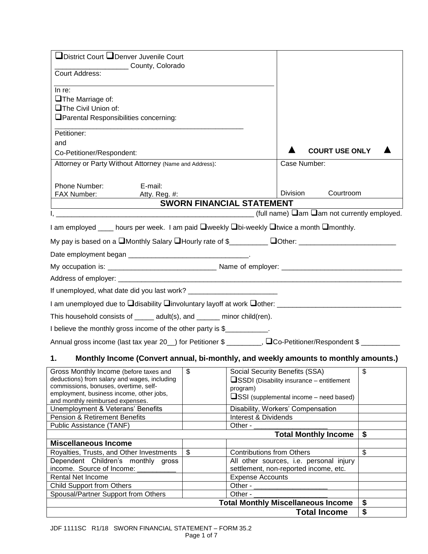| County, Colorado<br>Court Address:<br>In re:<br>$\Box$ The Marriage of:<br>$\Box$ The Civil Union of:<br><b>OParental Responsibilities concerning:</b><br>Petitioner:<br>and<br><b>COURT USE ONLY</b><br>Co-Petitioner/Respondent:<br>Case Number:<br>Attorney or Party Without Attorney (Name and Address):<br>Phone Number:<br>E-mail:<br>Division<br>Courtroom<br>FAX Number:<br>Atty. Reg. #:<br><b>SWORN FINANCIAL STATEMENT</b><br><u> 1980 - Johann Barbara, martin d</u><br>I am employed $\_\_\_\_$ hours per week. I am paid $\Box$ weekly $\Box$ bi-weekly $\Box$ twice a month $\Box$ monthly.<br>My pay is based on a DMonthly Salary DHourly rate of \$__________ DOther: ___________________________<br>I am unemployed due to □ disability □ involuntary layoff at work □ other: _________________________<br>This household consists of ______ adult(s), and ______ minor child(ren).<br>I believe the monthly gross income of the other party is \$<br>Annual gross income (last tax year 20_) for Petitioner \$ ________, QCo-Petitioner/Respondent \$ _________<br>Monthly Income (Convert annual, bi-monthly, and weekly amounts to monthly amounts.)<br>1.<br>\$<br>\$<br>Social Security Benefits (SSA)<br>Gross Monthly Income (before taxes and<br>deductions) from salary and wages, including<br>$\square$ SSDI (Disability insurance – entitlement<br>commissions, bonuses, overtime, self-<br>program)<br>employment, business income, other jobs,<br><b>OSSI</b> (supplemental income - need based)<br>and monthly reimbursed expenses.<br>Unemployment & Veterans' Benefits<br>Disability, Workers' Compensation<br><b>Pension &amp; Retirement Benefits</b><br>Interest & Dividends<br>Public Assistance (TANF)<br>Other -<br>\$<br><b>Total Monthly Income</b><br><b>Miscellaneous Income</b><br>\$<br>\$<br><b>Contributions from Others</b><br>Royalties, Trusts, and Other Investments<br>Dependent Children's monthly gross<br>All other sources, i.e. personal injury<br>income. Source of Income:<br>settlement, non-reported income, etc.<br><b>Rental Net Income</b><br><b>Expense Accounts</b><br>Other -<br><b>Child Support from Others</b><br>Spousal/Partner Support from Others<br>Other -<br>\$<br><b>Total Monthly Miscellaneous Income</b> | □District Court □Denver Juvenile Court |                     |    |
|----------------------------------------------------------------------------------------------------------------------------------------------------------------------------------------------------------------------------------------------------------------------------------------------------------------------------------------------------------------------------------------------------------------------------------------------------------------------------------------------------------------------------------------------------------------------------------------------------------------------------------------------------------------------------------------------------------------------------------------------------------------------------------------------------------------------------------------------------------------------------------------------------------------------------------------------------------------------------------------------------------------------------------------------------------------------------------------------------------------------------------------------------------------------------------------------------------------------------------------------------------------------------------------------------------------------------------------------------------------------------------------------------------------------------------------------------------------------------------------------------------------------------------------------------------------------------------------------------------------------------------------------------------------------------------------------------------------------------------------------------------------------------------------------------------------------------------------------------------------------------------------------------------------------------------------------------------------------------------------------------------------------------------------------------------------------------------------------------------------------------------------------------------------------------------------------------------------------------------------------------------------------------------------------|----------------------------------------|---------------------|----|
| (full name) $\Box$ am $\Box$ am not currently employed.                                                                                                                                                                                                                                                                                                                                                                                                                                                                                                                                                                                                                                                                                                                                                                                                                                                                                                                                                                                                                                                                                                                                                                                                                                                                                                                                                                                                                                                                                                                                                                                                                                                                                                                                                                                                                                                                                                                                                                                                                                                                                                                                                                                                                                      |                                        |                     |    |
|                                                                                                                                                                                                                                                                                                                                                                                                                                                                                                                                                                                                                                                                                                                                                                                                                                                                                                                                                                                                                                                                                                                                                                                                                                                                                                                                                                                                                                                                                                                                                                                                                                                                                                                                                                                                                                                                                                                                                                                                                                                                                                                                                                                                                                                                                              |                                        |                     |    |
|                                                                                                                                                                                                                                                                                                                                                                                                                                                                                                                                                                                                                                                                                                                                                                                                                                                                                                                                                                                                                                                                                                                                                                                                                                                                                                                                                                                                                                                                                                                                                                                                                                                                                                                                                                                                                                                                                                                                                                                                                                                                                                                                                                                                                                                                                              |                                        |                     |    |
|                                                                                                                                                                                                                                                                                                                                                                                                                                                                                                                                                                                                                                                                                                                                                                                                                                                                                                                                                                                                                                                                                                                                                                                                                                                                                                                                                                                                                                                                                                                                                                                                                                                                                                                                                                                                                                                                                                                                                                                                                                                                                                                                                                                                                                                                                              |                                        |                     |    |
|                                                                                                                                                                                                                                                                                                                                                                                                                                                                                                                                                                                                                                                                                                                                                                                                                                                                                                                                                                                                                                                                                                                                                                                                                                                                                                                                                                                                                                                                                                                                                                                                                                                                                                                                                                                                                                                                                                                                                                                                                                                                                                                                                                                                                                                                                              |                                        |                     |    |
|                                                                                                                                                                                                                                                                                                                                                                                                                                                                                                                                                                                                                                                                                                                                                                                                                                                                                                                                                                                                                                                                                                                                                                                                                                                                                                                                                                                                                                                                                                                                                                                                                                                                                                                                                                                                                                                                                                                                                                                                                                                                                                                                                                                                                                                                                              |                                        |                     |    |
|                                                                                                                                                                                                                                                                                                                                                                                                                                                                                                                                                                                                                                                                                                                                                                                                                                                                                                                                                                                                                                                                                                                                                                                                                                                                                                                                                                                                                                                                                                                                                                                                                                                                                                                                                                                                                                                                                                                                                                                                                                                                                                                                                                                                                                                                                              |                                        |                     |    |
|                                                                                                                                                                                                                                                                                                                                                                                                                                                                                                                                                                                                                                                                                                                                                                                                                                                                                                                                                                                                                                                                                                                                                                                                                                                                                                                                                                                                                                                                                                                                                                                                                                                                                                                                                                                                                                                                                                                                                                                                                                                                                                                                                                                                                                                                                              |                                        |                     |    |
|                                                                                                                                                                                                                                                                                                                                                                                                                                                                                                                                                                                                                                                                                                                                                                                                                                                                                                                                                                                                                                                                                                                                                                                                                                                                                                                                                                                                                                                                                                                                                                                                                                                                                                                                                                                                                                                                                                                                                                                                                                                                                                                                                                                                                                                                                              |                                        |                     |    |
|                                                                                                                                                                                                                                                                                                                                                                                                                                                                                                                                                                                                                                                                                                                                                                                                                                                                                                                                                                                                                                                                                                                                                                                                                                                                                                                                                                                                                                                                                                                                                                                                                                                                                                                                                                                                                                                                                                                                                                                                                                                                                                                                                                                                                                                                                              |                                        |                     |    |
|                                                                                                                                                                                                                                                                                                                                                                                                                                                                                                                                                                                                                                                                                                                                                                                                                                                                                                                                                                                                                                                                                                                                                                                                                                                                                                                                                                                                                                                                                                                                                                                                                                                                                                                                                                                                                                                                                                                                                                                                                                                                                                                                                                                                                                                                                              |                                        |                     |    |
|                                                                                                                                                                                                                                                                                                                                                                                                                                                                                                                                                                                                                                                                                                                                                                                                                                                                                                                                                                                                                                                                                                                                                                                                                                                                                                                                                                                                                                                                                                                                                                                                                                                                                                                                                                                                                                                                                                                                                                                                                                                                                                                                                                                                                                                                                              |                                        |                     |    |
|                                                                                                                                                                                                                                                                                                                                                                                                                                                                                                                                                                                                                                                                                                                                                                                                                                                                                                                                                                                                                                                                                                                                                                                                                                                                                                                                                                                                                                                                                                                                                                                                                                                                                                                                                                                                                                                                                                                                                                                                                                                                                                                                                                                                                                                                                              |                                        |                     |    |
|                                                                                                                                                                                                                                                                                                                                                                                                                                                                                                                                                                                                                                                                                                                                                                                                                                                                                                                                                                                                                                                                                                                                                                                                                                                                                                                                                                                                                                                                                                                                                                                                                                                                                                                                                                                                                                                                                                                                                                                                                                                                                                                                                                                                                                                                                              |                                        |                     |    |
|                                                                                                                                                                                                                                                                                                                                                                                                                                                                                                                                                                                                                                                                                                                                                                                                                                                                                                                                                                                                                                                                                                                                                                                                                                                                                                                                                                                                                                                                                                                                                                                                                                                                                                                                                                                                                                                                                                                                                                                                                                                                                                                                                                                                                                                                                              |                                        |                     |    |
|                                                                                                                                                                                                                                                                                                                                                                                                                                                                                                                                                                                                                                                                                                                                                                                                                                                                                                                                                                                                                                                                                                                                                                                                                                                                                                                                                                                                                                                                                                                                                                                                                                                                                                                                                                                                                                                                                                                                                                                                                                                                                                                                                                                                                                                                                              |                                        |                     |    |
|                                                                                                                                                                                                                                                                                                                                                                                                                                                                                                                                                                                                                                                                                                                                                                                                                                                                                                                                                                                                                                                                                                                                                                                                                                                                                                                                                                                                                                                                                                                                                                                                                                                                                                                                                                                                                                                                                                                                                                                                                                                                                                                                                                                                                                                                                              |                                        |                     |    |
|                                                                                                                                                                                                                                                                                                                                                                                                                                                                                                                                                                                                                                                                                                                                                                                                                                                                                                                                                                                                                                                                                                                                                                                                                                                                                                                                                                                                                                                                                                                                                                                                                                                                                                                                                                                                                                                                                                                                                                                                                                                                                                                                                                                                                                                                                              |                                        |                     |    |
|                                                                                                                                                                                                                                                                                                                                                                                                                                                                                                                                                                                                                                                                                                                                                                                                                                                                                                                                                                                                                                                                                                                                                                                                                                                                                                                                                                                                                                                                                                                                                                                                                                                                                                                                                                                                                                                                                                                                                                                                                                                                                                                                                                                                                                                                                              |                                        |                     |    |
|                                                                                                                                                                                                                                                                                                                                                                                                                                                                                                                                                                                                                                                                                                                                                                                                                                                                                                                                                                                                                                                                                                                                                                                                                                                                                                                                                                                                                                                                                                                                                                                                                                                                                                                                                                                                                                                                                                                                                                                                                                                                                                                                                                                                                                                                                              |                                        |                     |    |
|                                                                                                                                                                                                                                                                                                                                                                                                                                                                                                                                                                                                                                                                                                                                                                                                                                                                                                                                                                                                                                                                                                                                                                                                                                                                                                                                                                                                                                                                                                                                                                                                                                                                                                                                                                                                                                                                                                                                                                                                                                                                                                                                                                                                                                                                                              |                                        |                     |    |
|                                                                                                                                                                                                                                                                                                                                                                                                                                                                                                                                                                                                                                                                                                                                                                                                                                                                                                                                                                                                                                                                                                                                                                                                                                                                                                                                                                                                                                                                                                                                                                                                                                                                                                                                                                                                                                                                                                                                                                                                                                                                                                                                                                                                                                                                                              |                                        |                     |    |
|                                                                                                                                                                                                                                                                                                                                                                                                                                                                                                                                                                                                                                                                                                                                                                                                                                                                                                                                                                                                                                                                                                                                                                                                                                                                                                                                                                                                                                                                                                                                                                                                                                                                                                                                                                                                                                                                                                                                                                                                                                                                                                                                                                                                                                                                                              |                                        |                     |    |
|                                                                                                                                                                                                                                                                                                                                                                                                                                                                                                                                                                                                                                                                                                                                                                                                                                                                                                                                                                                                                                                                                                                                                                                                                                                                                                                                                                                                                                                                                                                                                                                                                                                                                                                                                                                                                                                                                                                                                                                                                                                                                                                                                                                                                                                                                              |                                        |                     |    |
|                                                                                                                                                                                                                                                                                                                                                                                                                                                                                                                                                                                                                                                                                                                                                                                                                                                                                                                                                                                                                                                                                                                                                                                                                                                                                                                                                                                                                                                                                                                                                                                                                                                                                                                                                                                                                                                                                                                                                                                                                                                                                                                                                                                                                                                                                              |                                        |                     |    |
|                                                                                                                                                                                                                                                                                                                                                                                                                                                                                                                                                                                                                                                                                                                                                                                                                                                                                                                                                                                                                                                                                                                                                                                                                                                                                                                                                                                                                                                                                                                                                                                                                                                                                                                                                                                                                                                                                                                                                                                                                                                                                                                                                                                                                                                                                              |                                        |                     |    |
|                                                                                                                                                                                                                                                                                                                                                                                                                                                                                                                                                                                                                                                                                                                                                                                                                                                                                                                                                                                                                                                                                                                                                                                                                                                                                                                                                                                                                                                                                                                                                                                                                                                                                                                                                                                                                                                                                                                                                                                                                                                                                                                                                                                                                                                                                              |                                        |                     |    |
|                                                                                                                                                                                                                                                                                                                                                                                                                                                                                                                                                                                                                                                                                                                                                                                                                                                                                                                                                                                                                                                                                                                                                                                                                                                                                                                                                                                                                                                                                                                                                                                                                                                                                                                                                                                                                                                                                                                                                                                                                                                                                                                                                                                                                                                                                              |                                        |                     |    |
|                                                                                                                                                                                                                                                                                                                                                                                                                                                                                                                                                                                                                                                                                                                                                                                                                                                                                                                                                                                                                                                                                                                                                                                                                                                                                                                                                                                                                                                                                                                                                                                                                                                                                                                                                                                                                                                                                                                                                                                                                                                                                                                                                                                                                                                                                              |                                        |                     |    |
|                                                                                                                                                                                                                                                                                                                                                                                                                                                                                                                                                                                                                                                                                                                                                                                                                                                                                                                                                                                                                                                                                                                                                                                                                                                                                                                                                                                                                                                                                                                                                                                                                                                                                                                                                                                                                                                                                                                                                                                                                                                                                                                                                                                                                                                                                              |                                        |                     |    |
|                                                                                                                                                                                                                                                                                                                                                                                                                                                                                                                                                                                                                                                                                                                                                                                                                                                                                                                                                                                                                                                                                                                                                                                                                                                                                                                                                                                                                                                                                                                                                                                                                                                                                                                                                                                                                                                                                                                                                                                                                                                                                                                                                                                                                                                                                              |                                        |                     |    |
|                                                                                                                                                                                                                                                                                                                                                                                                                                                                                                                                                                                                                                                                                                                                                                                                                                                                                                                                                                                                                                                                                                                                                                                                                                                                                                                                                                                                                                                                                                                                                                                                                                                                                                                                                                                                                                                                                                                                                                                                                                                                                                                                                                                                                                                                                              |                                        |                     |    |
|                                                                                                                                                                                                                                                                                                                                                                                                                                                                                                                                                                                                                                                                                                                                                                                                                                                                                                                                                                                                                                                                                                                                                                                                                                                                                                                                                                                                                                                                                                                                                                                                                                                                                                                                                                                                                                                                                                                                                                                                                                                                                                                                                                                                                                                                                              |                                        |                     |    |
|                                                                                                                                                                                                                                                                                                                                                                                                                                                                                                                                                                                                                                                                                                                                                                                                                                                                                                                                                                                                                                                                                                                                                                                                                                                                                                                                                                                                                                                                                                                                                                                                                                                                                                                                                                                                                                                                                                                                                                                                                                                                                                                                                                                                                                                                                              |                                        |                     |    |
|                                                                                                                                                                                                                                                                                                                                                                                                                                                                                                                                                                                                                                                                                                                                                                                                                                                                                                                                                                                                                                                                                                                                                                                                                                                                                                                                                                                                                                                                                                                                                                                                                                                                                                                                                                                                                                                                                                                                                                                                                                                                                                                                                                                                                                                                                              |                                        |                     |    |
|                                                                                                                                                                                                                                                                                                                                                                                                                                                                                                                                                                                                                                                                                                                                                                                                                                                                                                                                                                                                                                                                                                                                                                                                                                                                                                                                                                                                                                                                                                                                                                                                                                                                                                                                                                                                                                                                                                                                                                                                                                                                                                                                                                                                                                                                                              |                                        |                     |    |
|                                                                                                                                                                                                                                                                                                                                                                                                                                                                                                                                                                                                                                                                                                                                                                                                                                                                                                                                                                                                                                                                                                                                                                                                                                                                                                                                                                                                                                                                                                                                                                                                                                                                                                                                                                                                                                                                                                                                                                                                                                                                                                                                                                                                                                                                                              |                                        |                     |    |
|                                                                                                                                                                                                                                                                                                                                                                                                                                                                                                                                                                                                                                                                                                                                                                                                                                                                                                                                                                                                                                                                                                                                                                                                                                                                                                                                                                                                                                                                                                                                                                                                                                                                                                                                                                                                                                                                                                                                                                                                                                                                                                                                                                                                                                                                                              |                                        |                     |    |
|                                                                                                                                                                                                                                                                                                                                                                                                                                                                                                                                                                                                                                                                                                                                                                                                                                                                                                                                                                                                                                                                                                                                                                                                                                                                                                                                                                                                                                                                                                                                                                                                                                                                                                                                                                                                                                                                                                                                                                                                                                                                                                                                                                                                                                                                                              |                                        |                     |    |
|                                                                                                                                                                                                                                                                                                                                                                                                                                                                                                                                                                                                                                                                                                                                                                                                                                                                                                                                                                                                                                                                                                                                                                                                                                                                                                                                                                                                                                                                                                                                                                                                                                                                                                                                                                                                                                                                                                                                                                                                                                                                                                                                                                                                                                                                                              |                                        |                     |    |
|                                                                                                                                                                                                                                                                                                                                                                                                                                                                                                                                                                                                                                                                                                                                                                                                                                                                                                                                                                                                                                                                                                                                                                                                                                                                                                                                                                                                                                                                                                                                                                                                                                                                                                                                                                                                                                                                                                                                                                                                                                                                                                                                                                                                                                                                                              |                                        | <b>Total Income</b> | \$ |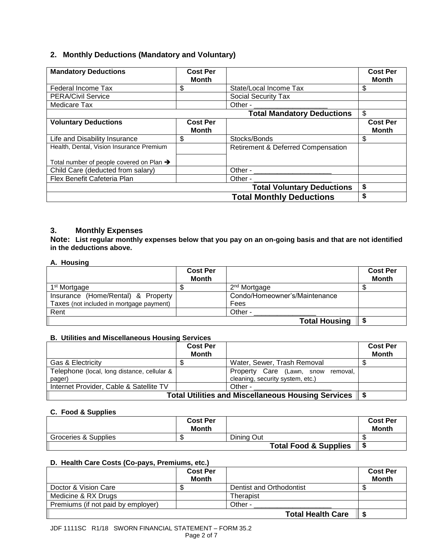# **2. Monthly Deductions (Mandatory and Voluntary)**

| <b>Mandatory Deductions</b>                          | <b>Cost Per</b><br><b>Month</b> |                                               | <b>Cost Per</b><br><b>Month</b> |
|------------------------------------------------------|---------------------------------|-----------------------------------------------|---------------------------------|
| Federal Income Tax                                   | S                               | State/Local Income Tax                        | \$                              |
| <b>PERA/Civil Service</b>                            |                                 | <b>Social Security Tax</b>                    |                                 |
| Medicare Tax                                         |                                 | Other -                                       |                                 |
|                                                      |                                 | <b>Total Mandatory Deductions</b>             | \$                              |
| <b>Voluntary Deductions</b>                          | <b>Cost Per</b><br>Month        |                                               | <b>Cost Per</b><br>Month        |
| Life and Disability Insurance                        | \$                              | Stocks/Bonds                                  | \$                              |
| Health, Dental, Vision Insurance Premium             |                                 | <b>Retirement &amp; Deferred Compensation</b> |                                 |
| Total number of people covered on Plan $\rightarrow$ |                                 |                                               |                                 |
| Child Care (deducted from salary)                    |                                 | Other - $\_\_$                                |                                 |
| Flex Benefit Cafeteria Plan                          |                                 | Other -                                       |                                 |
|                                                      |                                 | <b>Total Voluntary Deductions</b>             | \$                              |
|                                                      |                                 | <b>Total Monthly Deductions</b>               | \$                              |

# **3. Monthly Expenses**

#### **Note: List regular monthly expenses below that you pay on an on-going basis and that are not identified in the deductions above.**

#### **A. Housing**

|                                          | <b>Cost Per</b><br><b>Month</b> |                               | <b>Cost Per</b><br><b>Month</b> |
|------------------------------------------|---------------------------------|-------------------------------|---------------------------------|
| 1 <sup>st</sup> Mortgage                 |                                 | 2 <sup>nd</sup> Mortgage      |                                 |
| Insurance (Home/Rental) & Property       |                                 | Condo/Homeowner's/Maintenance |                                 |
| Taxes (not included in mortgage payment) |                                 | Fees                          |                                 |
| Rent                                     |                                 | Other -                       |                                 |
|                                          |                                 | <b>Total Housing</b>          |                                 |

### **B. Utilities and Miscellaneous Housing Services**

|                                                           | <b>Cost Per</b><br><b>Month</b> |                                                                           | <b>Cost Per</b><br><b>Month</b> |  |
|-----------------------------------------------------------|---------------------------------|---------------------------------------------------------------------------|---------------------------------|--|
| <b>Gas &amp; Electricity</b>                              |                                 | Water, Sewer, Trash Removal                                               |                                 |  |
| Telephone (local, long distance, cellular &<br>pager)     |                                 | Property Care (Lawn, snow<br>removal,<br>cleaning, security system, etc.) |                                 |  |
| Internet Provider, Cable & Satellite TV                   |                                 | Other -                                                                   |                                 |  |
| <b>Total Utilities and Miscellaneous Housing Services</b> |                                 |                                                                           |                                 |  |

#### **C. Food & Supplies**

|                      | <b>Cost Per</b><br><b>Month</b> |                                  | <b>Cost Per</b><br><b>Month</b> |
|----------------------|---------------------------------|----------------------------------|---------------------------------|
| Groceries & Supplies |                                 | Dining Out                       | ה.                              |
|                      |                                 | <b>Total Food &amp; Supplies</b> | '\$                             |

# **D. Health Care Costs (Co-pays, Premiums, etc.)**

|                                    | <b>Cost Per</b><br><b>Month</b> |                          | <b>Cost Per</b><br><b>Month</b> |
|------------------------------------|---------------------------------|--------------------------|---------------------------------|
| Doctor & Vision Care               |                                 | Dentist and Orthodontist |                                 |
| Medicine & RX Drugs                |                                 | Therapist                |                                 |
| Premiums (if not paid by employer) |                                 | Other -                  |                                 |
|                                    |                                 | <b>Total Health Care</b> |                                 |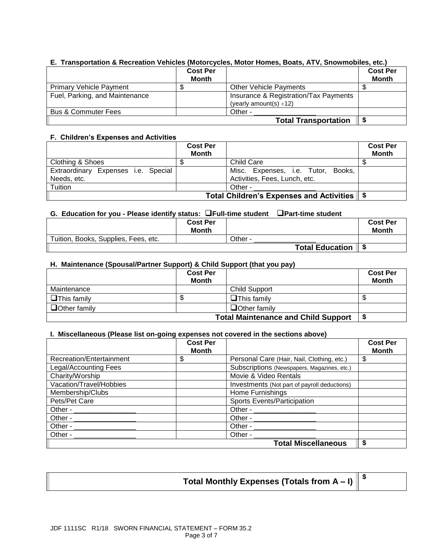## **E. Transportation & Recreation Vehicles (Motorcycles, Motor Homes, Boats, ATV, Snowmobiles, etc.)**

|                                | <b>Cost Per</b><br><b>Month</b> |                                       | <b>Cost Per</b><br><b>Month</b> |
|--------------------------------|---------------------------------|---------------------------------------|---------------------------------|
| <b>Primary Vehicle Payment</b> |                                 | <b>Other Vehicle Payments</b>         |                                 |
| Fuel, Parking, and Maintenance |                                 | Insurance & Registration/Tax Payments |                                 |
|                                |                                 | (yearly amount(s) $\div$ 12)          |                                 |
| <b>Bus &amp; Commuter Fees</b> |                                 | Other -                               |                                 |
|                                |                                 | <b>Total Transportation</b>           |                                 |

#### **F. Children's Expenses and Activities**

|                                               | <b>Cost Per</b><br><b>Month</b> |                                    | <b>Cost Per</b><br><b>Month</b> |
|-----------------------------------------------|---------------------------------|------------------------------------|---------------------------------|
|                                               |                                 |                                    |                                 |
| Clothing & Shoes                              |                                 | Child Care                         |                                 |
| Extraordinary Expenses i.e. Special           |                                 | Misc. Expenses, i.e. Tutor, Books, |                                 |
| Needs, etc.                                   |                                 | Activities, Fees, Lunch, etc.      |                                 |
| Tuition                                       |                                 | Other -                            |                                 |
| Total Children's Expenses and Activities   \$ |                                 |                                    |                                 |

## **G. Education for you - Please identify status: Full-time student Part-time student**

|                                      | <b>Cost Per</b><br><b>Month</b> |         |                        | <b>Cost Per</b><br><b>Month</b> |
|--------------------------------------|---------------------------------|---------|------------------------|---------------------------------|
| Tuition, Books, Supplies, Fees, etc. |                                 | Other - |                        |                                 |
|                                      |                                 |         | <b>Total Education</b> | ⊕                               |

#### **H. Maintenance (Spousal/Partner Support) & Child Support (that you pay)**

|                      | <b>Cost Per</b> |                                            | <b>Cost Per</b> |
|----------------------|-----------------|--------------------------------------------|-----------------|
|                      | <b>Month</b>    |                                            | <b>Month</b>    |
| Maintenance          |                 | <b>Child Support</b>                       |                 |
| <b>□</b> This family |                 | $\Box$ This family                         |                 |
| $\Box$ Other family  |                 | $\Box$ Other family                        |                 |
|                      |                 | <b>Total Maintenance and Child Support</b> |                 |

### **I. Miscellaneous (Please list on-going expenses not covered in the sections above)**

|                          | <b>Cost Per</b><br>Month |                                              | <b>Cost Per</b><br><b>Month</b> |
|--------------------------|--------------------------|----------------------------------------------|---------------------------------|
| Recreation/Entertainment |                          | Personal Care (Hair, Nail, Clothing, etc.)   | \$                              |
| Legal/Accounting Fees    |                          | Subscriptions (Newspapers, Magazines, etc.)  |                                 |
| Charity/Worship          |                          | Movie & Video Rentals                        |                                 |
| Vacation/Travel/Hobbies  |                          | Investments (Not part of payroll deductions) |                                 |
| Membership/Clubs         |                          | Home Furnishings                             |                                 |
| Pets/Pet Care            |                          | Sports Events/Participation                  |                                 |
| Other -                  |                          | Other -                                      |                                 |
| Other -                  |                          | Other -                                      |                                 |
| Other -                  |                          | Other -                                      |                                 |
| Other -                  |                          | Other -                                      |                                 |
|                          |                          | <b>Total Miscellaneous</b>                   | \$                              |

 **Total Monthly Expenses (Totals from A – I) \$**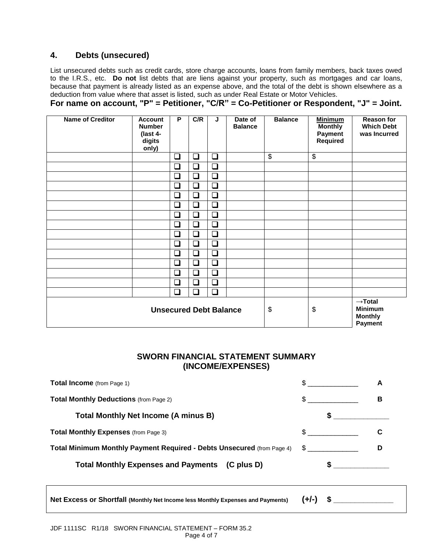# **4. Debts (unsecured)**

List unsecured debts such as credit cards, store charge accounts, loans from family members, back taxes owed to the I.R.S., etc. **Do not** list debts that are liens against your property, such as mortgages and car loans, because that payment is already listed as an expense above, and the total of the debt is shown elsewhere as a deduction from value where that asset is listed, such as under Real Estate or Motor Vehicles.

| For name on account, "P" = Petitioner, "C/R" = Co-Petitioner or Respondent, "J" = Joint. |  |  |  |  |  |  |  |  |
|------------------------------------------------------------------------------------------|--|--|--|--|--|--|--|--|
|------------------------------------------------------------------------------------------|--|--|--|--|--|--|--|--|

| <b>Name of Creditor</b> | <b>Account</b><br><b>Number</b><br>(last 4-<br>digits<br>only) | P      | C/R    | J      | Date of<br><b>Balance</b> | <b>Balance</b> | <b>Minimum</b><br><b>Monthly</b><br><b>Payment</b><br>Required | <b>Reason for</b><br><b>Which Debt</b><br>was Incurred                    |
|-------------------------|----------------------------------------------------------------|--------|--------|--------|---------------------------|----------------|----------------------------------------------------------------|---------------------------------------------------------------------------|
|                         |                                                                | ❏      | $\Box$ | $\Box$ |                           | \$             | \$                                                             |                                                                           |
|                         |                                                                | $\Box$ | ❏      | $\Box$ |                           |                |                                                                |                                                                           |
|                         |                                                                | ❏      | ❏      | $\Box$ |                           |                |                                                                |                                                                           |
|                         |                                                                | ❏      | $\Box$ | $\Box$ |                           |                |                                                                |                                                                           |
|                         |                                                                | $\Box$ | $\Box$ | $\Box$ |                           |                |                                                                |                                                                           |
|                         |                                                                | ❏      | ❏      | $\Box$ |                           |                |                                                                |                                                                           |
|                         |                                                                | ❏      | $\Box$ | $\Box$ |                           |                |                                                                |                                                                           |
|                         |                                                                | ❏      | $\Box$ | $\Box$ |                           |                |                                                                |                                                                           |
|                         |                                                                | ❏      | $\Box$ | $\Box$ |                           |                |                                                                |                                                                           |
|                         |                                                                | $\Box$ | ❏      | $\Box$ |                           |                |                                                                |                                                                           |
|                         |                                                                | ❏      | ❏      | $\Box$ |                           |                |                                                                |                                                                           |
|                         |                                                                | ❏      | $\Box$ | $\Box$ |                           |                |                                                                |                                                                           |
|                         |                                                                | ❏      | $\Box$ | $\Box$ |                           |                |                                                                |                                                                           |
|                         |                                                                | $\Box$ | $\Box$ | $\Box$ |                           |                |                                                                |                                                                           |
|                         |                                                                | $\Box$ | $\Box$ | $\Box$ |                           |                |                                                                |                                                                           |
|                         | <b>Unsecured Debt Balance</b>                                  |        |        |        |                           |                | \$                                                             | $\rightarrow$ Total<br><b>Minimum</b><br><b>Monthly</b><br><b>Payment</b> |

# **SWORN FINANCIAL STATEMENT SUMMARY (INCOME/EXPENSES)**

| <b>Total Income</b> (from Page 1)                                      |                               | А |
|------------------------------------------------------------------------|-------------------------------|---|
| <b>Total Monthly Deductions (from Page 2)</b>                          |                               | в |
| Total Monthly Net Income (A minus B)                                   |                               |   |
| <b>Total Monthly Expenses</b> (from Page 3)                            |                               |   |
| Total Minimum Monthly Payment Required - Debts Unsecured (from Page 4) | $\mathbb{S}$ and $\mathbb{S}$ | D |
| Total Monthly Expenses and Payments (C plus D)                         |                               |   |

**Net Excess or Shortfall (Monthly Net Income less Monthly Expenses and Payments) (+/-) \$ \_\_\_\_\_\_\_\_\_\_\_\_\_\_**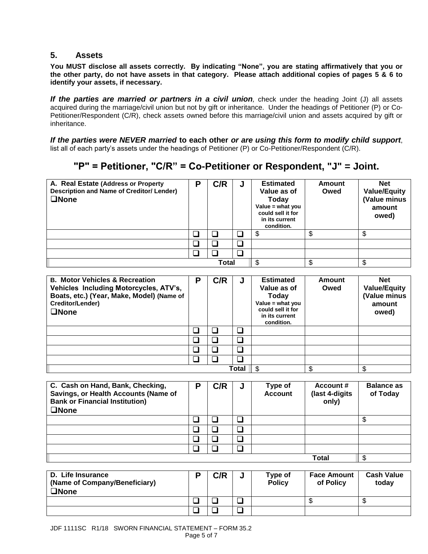# **5. Assets**

**You MUST disclose all assets correctly. By indicating "None", you are stating affirmatively that you or the other party, do not have assets in that category. Please attach additional copies of pages 5 & 6 to identify your assets, if necessary.**

*If the parties are married or partners in a civil union,* check under the heading Joint (J) all assets acquired during the marriage/civil union but not by gift or inheritance. Under the headings of Petitioner (P) or Co-Petitioner/Respondent (C/R), check assets owned before this marriage/civil union and assets acquired by gift or inheritance.

*If the parties were NEVER married* **to each other** *or are using this form to modify child support*, list all of each party's assets under the headings of Petitioner (P) or Co-Petitioner/Respondent (C/R).

# **"P" = Petitioner, "C/R" = Co-Petitioner or Respondent, "J" = Joint.**

| A. Real Estate (Address or Property<br><b>Description and Name of Creditor/ Lender)</b><br><b>ONone</b> | D | C/R   | J | <b>Estimated</b><br>Value as of<br>Today<br>Value = what you<br>could sell it for<br>in its current<br>condition. | <b>Amount</b><br>Owed | <b>Net</b><br><b>Value/Equity</b><br>(Value minus<br>amount<br>owed) |
|---------------------------------------------------------------------------------------------------------|---|-------|---|-------------------------------------------------------------------------------------------------------------------|-----------------------|----------------------------------------------------------------------|
|                                                                                                         |   |       |   |                                                                                                                   |                       |                                                                      |
|                                                                                                         |   | ⊔     |   |                                                                                                                   |                       |                                                                      |
|                                                                                                         |   |       |   |                                                                                                                   |                       |                                                                      |
|                                                                                                         |   | Total |   | ጥ                                                                                                                 |                       |                                                                      |

| <b>B. Motor Vehicles &amp; Recreation</b><br>Vehicles Including Motorcycles, ATV's,<br>Boats, etc.) (Year, Make, Model) (Name of<br>Creditor/Lender)<br>$\square$ None | D | C/R | J     | <b>Estimated</b><br>Value as of<br>Today<br>Value = what you<br>could sell it for<br>in its current<br>condition. | Amount<br>Owed | <b>Net</b><br><b>Value/Equity</b><br>(Value minus<br>amount<br>owed) |
|------------------------------------------------------------------------------------------------------------------------------------------------------------------------|---|-----|-------|-------------------------------------------------------------------------------------------------------------------|----------------|----------------------------------------------------------------------|
|                                                                                                                                                                        |   | ⊔   |       |                                                                                                                   |                |                                                                      |
|                                                                                                                                                                        |   |     |       |                                                                                                                   |                |                                                                      |
|                                                                                                                                                                        |   | ⊔   |       |                                                                                                                   |                |                                                                      |
|                                                                                                                                                                        |   |     |       |                                                                                                                   |                |                                                                      |
|                                                                                                                                                                        |   |     | Total |                                                                                                                   | \$             |                                                                      |

| C. Cash on Hand, Bank, Checking,<br>Savings, or Health Accounts (Name of<br><b>Bank or Financial Institution)</b><br>$\square$ None | п | C/R | J | Type of<br><b>Account</b> | Account #<br>(last 4-digits<br>only) | <b>Balance as</b><br>of Today |
|-------------------------------------------------------------------------------------------------------------------------------------|---|-----|---|---------------------------|--------------------------------------|-------------------------------|
|                                                                                                                                     |   |     |   |                           |                                      | œ<br>ъ                        |
|                                                                                                                                     |   |     |   |                           |                                      |                               |
|                                                                                                                                     |   |     |   |                           |                                      |                               |
|                                                                                                                                     |   |     |   |                           |                                      |                               |
|                                                                                                                                     |   |     |   |                           | Total                                |                               |

| D. Life Insurance<br>(Name of Company/Beneficiary)<br>$\square$ None | C/R | Type of<br><b>Policy</b> | <b>Face Amount</b><br>of Policy | <b>Cash Value</b><br>today |
|----------------------------------------------------------------------|-----|--------------------------|---------------------------------|----------------------------|
|                                                                      |     |                          |                                 | мD                         |
|                                                                      |     |                          |                                 |                            |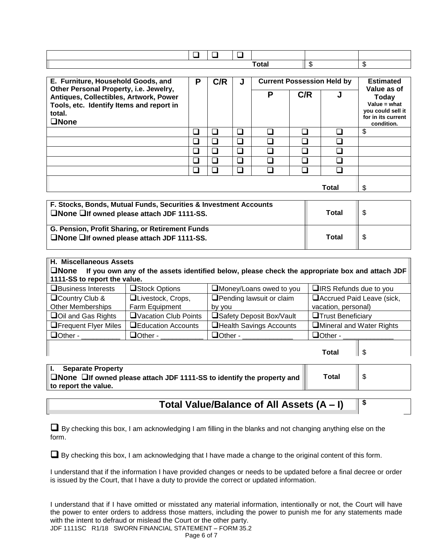|  | __ |       |      |  |
|--|----|-------|------|--|
|  |    | ⊺otai | . 13 |  |

| E. Furniture, Household Goods, and<br>Other Personal Property, i.e. Jewelry,                                   | Р                           | C/R                      | J |   |     | <b>Current Possession Held by</b> | <b>Estimated</b><br>Value as of                                                  |
|----------------------------------------------------------------------------------------------------------------|-----------------------------|--------------------------|---|---|-----|-----------------------------------|----------------------------------------------------------------------------------|
| Antiques, Collectibles, Artwork, Power<br>Tools, etc. Identify Items and report in<br>total.<br>$\square$ None |                             |                          |   | Р | C/R |                                   | Today<br>Value = $what$<br>you could sell it<br>for in its current<br>condition. |
|                                                                                                                | $\overline{\phantom{a}}$    | $\overline{\phantom{0}}$ |   |   |     |                                   | \$                                                                               |
|                                                                                                                | $\overline{\phantom{a}}$    | $\mathbf{I}$             |   |   |     |                                   |                                                                                  |
|                                                                                                                | $\overline{\phantom{a}}$    | $\Box$                   |   |   |     |                                   |                                                                                  |
|                                                                                                                | $\mathcal{L}_{\mathcal{A}}$ | $\sim$                   |   |   |     |                                   |                                                                                  |
|                                                                                                                | $\mathcal{L}_{\mathcal{A}}$ | $\overline{\phantom{0}}$ |   |   |     |                                   |                                                                                  |
|                                                                                                                |                             |                          |   |   |     | Total                             | \$                                                                               |

| F. Stocks, Bonds, Mutual Funds, Securities & Investment Accounts<br>□None □If owned please attach JDF 1111-SS. | Total        |  |
|----------------------------------------------------------------------------------------------------------------|--------------|--|
| G. Pension, Profit Sharing, or Retirement Funds<br>□None □If owned please attach JDF 1111-SS.                  | <b>Total</b> |  |

## **H. Miscellaneous Assets None If you own any of the assets identified below, please check the appropriate box and attach JDF 1111-SS to report the value.**

| □Business Interests           | □Stock Options              | Money/Loans owed to you         | $\Box$ IRS Refunds due to you    |
|-------------------------------|-----------------------------|---------------------------------|----------------------------------|
| <b>QCountry Club &amp;</b>    | Livestock, Crops,           | $\Box$ Pending lawsuit or claim | Accrued Paid Leave (sick,        |
| <b>Other Memberships</b>      | Farm Equipment              | by you                          | vacation, personal)              |
| $\Box$ Oil and Gas Rights     | $\Box$ Vacation Club Points | □Safety Deposit Box/Vault       | <b>UTrust Beneficiary</b>        |
| <b>O</b> Frequent Flyer Miles | <b>Education Accounts</b>   | <b>Health Savings Accounts</b>  | <b>OMineral and Water Rights</b> |
| $\Box$ Other -                | $\Box$ Other -              | $\Box$ Other -                  | $\Box$ Other -                   |
|                               |                             |                                 |                                  |

 **Total** \$

| <b>Separate Property</b>                                               |              |  |
|------------------------------------------------------------------------|--------------|--|
| □None □If owned please attach JDF 1111-SS to identify the property and | <b>Total</b> |  |
| to report the value.                                                   |              |  |

# **Total Value/Balance of All Assets (A – I) \$**

 $\Box$  By checking this box, I am acknowledging I am filling in the blanks and not changing anything else on the form.

 $\Box$  By checking this box, I am acknowledging that I have made a change to the original content of this form.

I understand that if the information I have provided changes or needs to be updated before a final decree or order is issued by the Court, that I have a duty to provide the correct or updated information.

JDF 1111SC R1/18 SWORN FINANCIAL STATEMENT – FORM 35.2 I understand that if I have omitted or misstated any material information, intentionally or not, the Court will have the power to enter orders to address those matters, including the power to punish me for any statements made with the intent to defraud or mislead the Court or the other party.